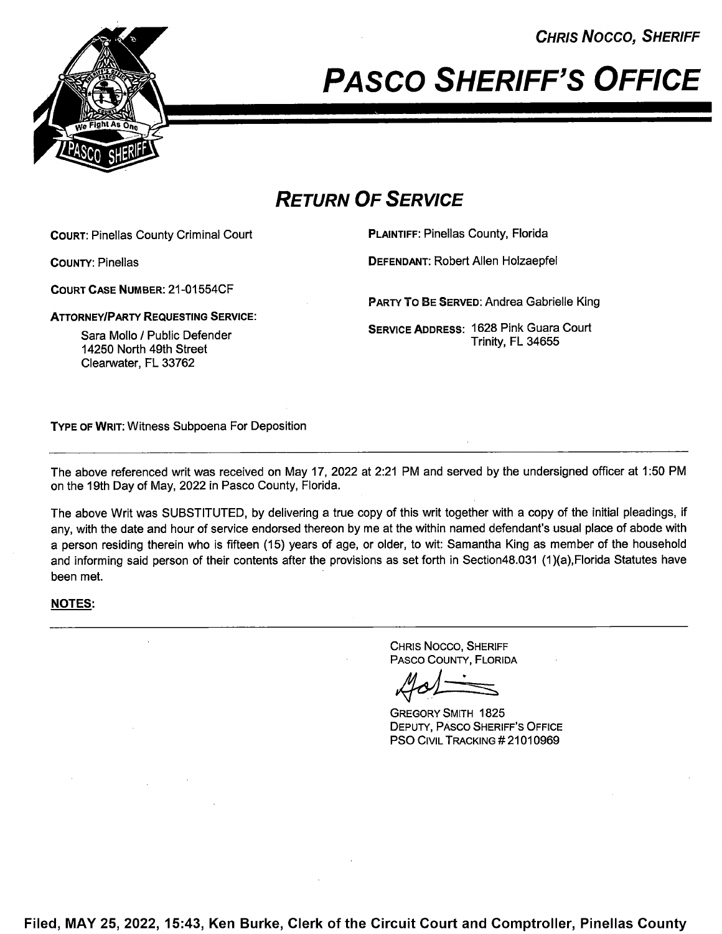CHRIS Nocco, SHERIFF



PASCO SHERIFF'S OFFICE

# RETURN OF SERVICE

COURT: Pinellas County Criminal Court **PLAINTIFF: Pinellas County, Florida** 

COURT CASE NUMBER: 21 -01 554CF

**ATTORNEY/PARTY REQUESTING SERVICE:** 

Sara Mollo / Public Defender 14250 North 49th Street Clearwater, FL 33762

COUNTY: Pinellas DEFENDANT: Robert Allen Holzaepfel

PARTY To BE SERVED: Andrea Gabrielle King

SERVICE ADDRESS: 1628 Pink Guara Court Trinity, FL 34655

TYPE 0F WRIT: Witness Subpoena For Deposition

The above referenced writ was received on May 17, 2022 at 2:21 PM and served by the undersigned officer at 1:50 PM on the 19th Day of May, 2022 in Pasco County, Florida.

The above Writ was SUBSTITUTED, by delivering a true copy of this writ together with a copy of the initial pleadings, if any, with the date and hour of service endorsed thereon by me at the within named defendant's usual place of abode with person residing therein who is fifteen (15) years of age, or older, to wit: Samantha King as member of the household and informing said person of their contents after the provisions as set forth in Section48.031 (1)(a), Florida Statutes have been met.

#### NOTES:

CHRIS Nocco, SHERIFF PAsco COUNTY, FLORIDA

GREGORY SMITH 1825 DEPUTY, PAsco SHERIFF'S OFFICE PSO CIVIL TRACKING #21010969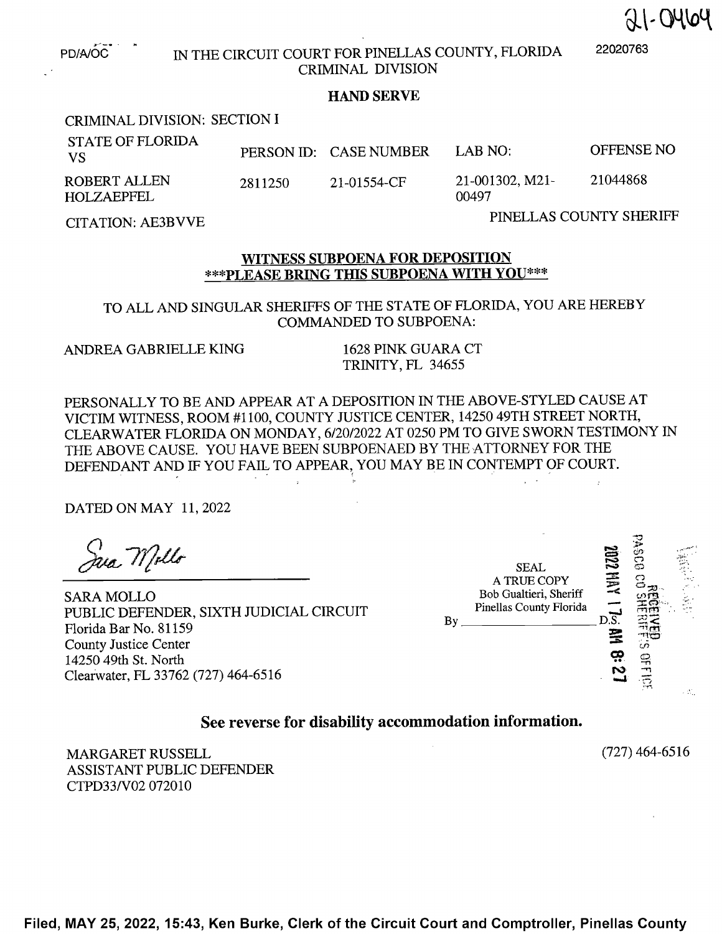$21 - 0464$ 

PD/A/OC

## IN THE CIRCUIT COURT FOR PINELLAS COUNTY, FLORIDA <sup>22020763</sup> CRIMINAL DIVISION

### HAND SERVE

### CRIMINAL DIVISION: SECTION

| <b>STATE OF FLORIDA</b><br>- VS |         | PERSON ID: CASE NUMBER | LAB NO:                  | OFFENSE NO |
|---------------------------------|---------|------------------------|--------------------------|------------|
| ROBERT ALLEN<br>HOLZAEPFEL      | 2811250 | 21-01554-CF            | 21-001302, M21-<br>00497 | 21044868   |

CITATION: AE3BVVE PINELLAS COUNTY SHERIFF

#### WITNESS SUBPOENA FOR DEPOSITION \*\*\*PLEASE BRING THIS SUBPOENA WITH YOU\*\*\*

TO ALL AND SINGULAR SHERIFFS OF THE STATE OF FLORIDA, YOU ARE HEREBY COMMANDED TO SUBPOENA:

ANDREA GABRIELLE KING <sup>1628</sup> PINK GUARA CT

TRINITY, FL 34655

PERSONALLY TO BE AND APPEAR AT A DEPOSITION IN THE ABOVE-STYLED CAUSE AT VICTIM WITNESS, ROOM #1 100, COUNTY JUSTICE CENTER, <sup>14250</sup> 49TH STREET NORTH, CLEARWATER FLORIDA ON MONDAY, 6/20/2022 AT <sup>0250</sup> PM TO GIVE SWORN TESTIMONY IN THE ABOVE CAUSE. YOU HAVE BEEN SUBPOENAED BY THE ATTORNEY FOR THE DEFENDANT AND IF YOU FAIL TO APPEAR, YOU MAY BE IN CONTEMPT OF COURT.

DATED ON MAY 11, <sup>2022</sup>

(1)<br>Jua Mollo

PUBLIC DEFENDER, SIXTH JUDICIAL CIRCUIT Florida Bar No.  $81159$ <br>Florida Bar No.  $81159$ County Justice Center 14250 49th St. North Clearwater, FL 33762 (727) 464-6516

:2  $2$ r)  $\rightarrow$   $\rightarrow$  $SEAL$ A TRUE COPY<br>Bob Gualtieri, Sheriff  $SARA MOLLO$  Bob Gualtieri, Sheriff  $\tilde{\Xi}$  was  $\tilde{\Xi}$ Pinellas County Florida

See reverse for disability accommodation information.

MARGARET RUSSELL (727) 464-6516 ASSISTANT PUBLIC DEFENDER CTPD33/V02 072010

Filed, MAY 25, 2022, 15:43, Ken Burke, Clerk of the Circuit Court and Comptroller, Pinellas County